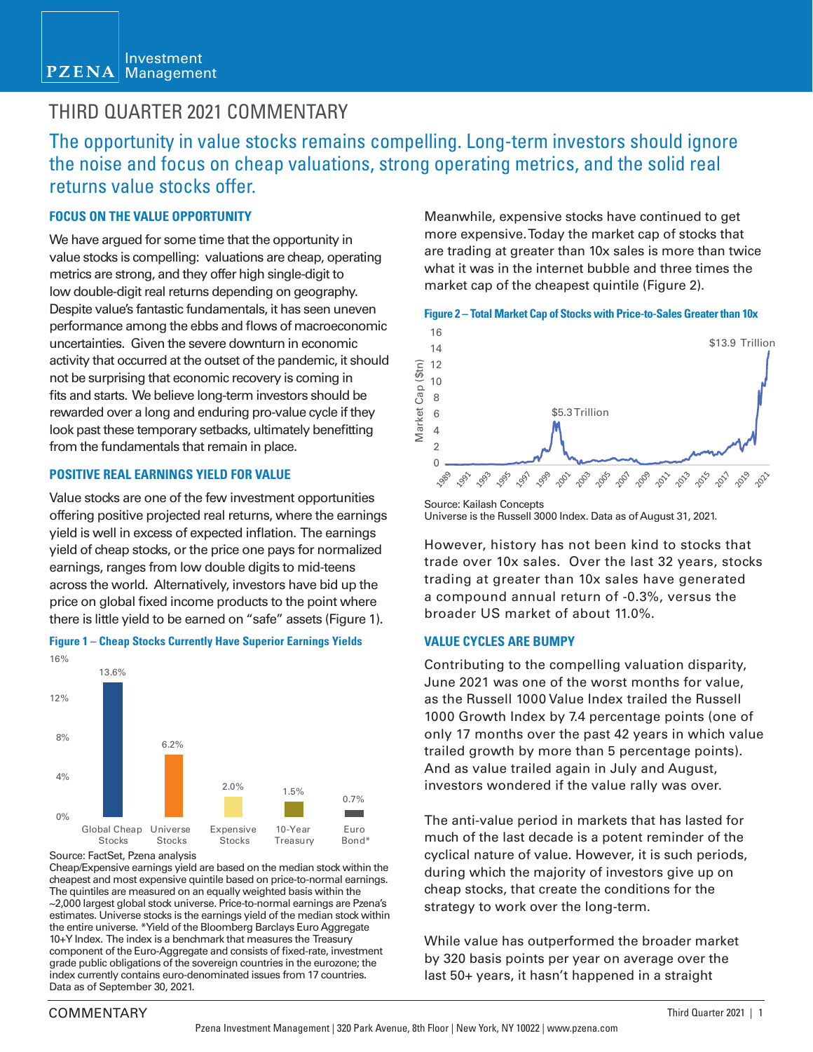#### Investment  $PZENA$ Management

## THIRD QUARTER 2021 COMMENTARY

The opportunity in value stocks remains compelling. Long-term investors should ignore the noise and focus on cheap valuations, strong operating metrics, and the solid real returns value stocks offer.

## **FOCUS ON THE VALUE OPPORTUNITY**

We have argued for some time that the opportunity in value stocks is compelling: valuations are cheap, operating metrics are strong, and they offer high single-digit to low double-digit real returns depending on geography. Despite value's fantastic fundamentals, it has seen uneven performance among the ebbs and flows of macroeconomic uncertainties. Given the severe downturn in economic activity that occurred at the outset of the pandemic, it should not be surprising that economic recovery is coming in fits and starts. We believe long-term investors should be rewarded over a long and enduring pro-value cycle if they look past these temporary setbacks, ultimately benefitting from the fundamentals that remain in place.

## **POSITIVE REAL EARNINGS YIELD FOR VALUE**

Value stocks are one of the few investment opportunities offering positive projected real returns, where the earnings yield is well in excess of expected inflation. The earnings yield of cheap stocks, or the price one pays for normalized earnings, ranges from low double digits to mid-teens across the world. Alternatively, investors have bid up the price on global fixed income products to the point where there is little yield to be earned on "safe" assets (Figure 1).



#### **Figure 1 – Cheap Stocks Currently Have Superior Earnings Yields**

Source: FactSet, Pzena analysis

Cheap/Expensive earnings yield are based on the median stock within the cheapest and most expensive quintile based on price-to-normal earnings. The quintiles are measured on an equally weighted basis within the ~2,000 largest global stock universe. Price-to-normal earnings are Pzena's estimates. Universe stocks is the earnings yield of the median stock within the entire universe. \*Yield of the Bloomberg Barclays Euro Aggregate 10+Y Index. The index is a benchmark that measures the Treasury component of the Euro-Aggregate and consists of fixed-rate, investment grade public obligations of the sovereign countries in the eurozone; the index currently contains euro-denominated issues from 17 countries. Data as of September 30, 2021.

Meanwhile, expensive stocks have continued to get more expensive. Today the market cap of stocks that are trading at greater than 10x sales is more than twice what it was in the internet bubble and three times the market cap of the cheapest quintile (Figure 2).

### **Figure 2 – Total Market Cap of Stocks with Price-to-Sales Greater than 10x**



Source: Kailash Concepts Universe is the Russell 3000 Index. Data as of August 31, 2021.

However, history has not been kind to stocks that trade over 10x sales. Over the last 32 years, stocks trading at greater than 10x sales have generated a compound annual return of -0.3%, versus the broader US market of about 11.0%.

## **VALUE CYCLES ARE BUMPY**

Contributing to the compelling valuation disparity, June 2021 was one of the worst months for value, as the Russell 1000 Value Index trailed the Russell 1000 Growth Index by 7.4 percentage points (one of only 17 months over the past 42 years in which value trailed growth by more than 5 percentage points). And as value trailed again in July and August, investors wondered if the value rally was over.

The anti-value period in markets that has lasted for much of the last decade is a potent reminder of the cyclical nature of value. However, it is such periods, during which the majority of investors give up on cheap stocks, that create the conditions for the strategy to work over the long-term.

While value has outperformed the broader market by 320 basis points per year on average over the last 50+ years, it hasn't happened in a straight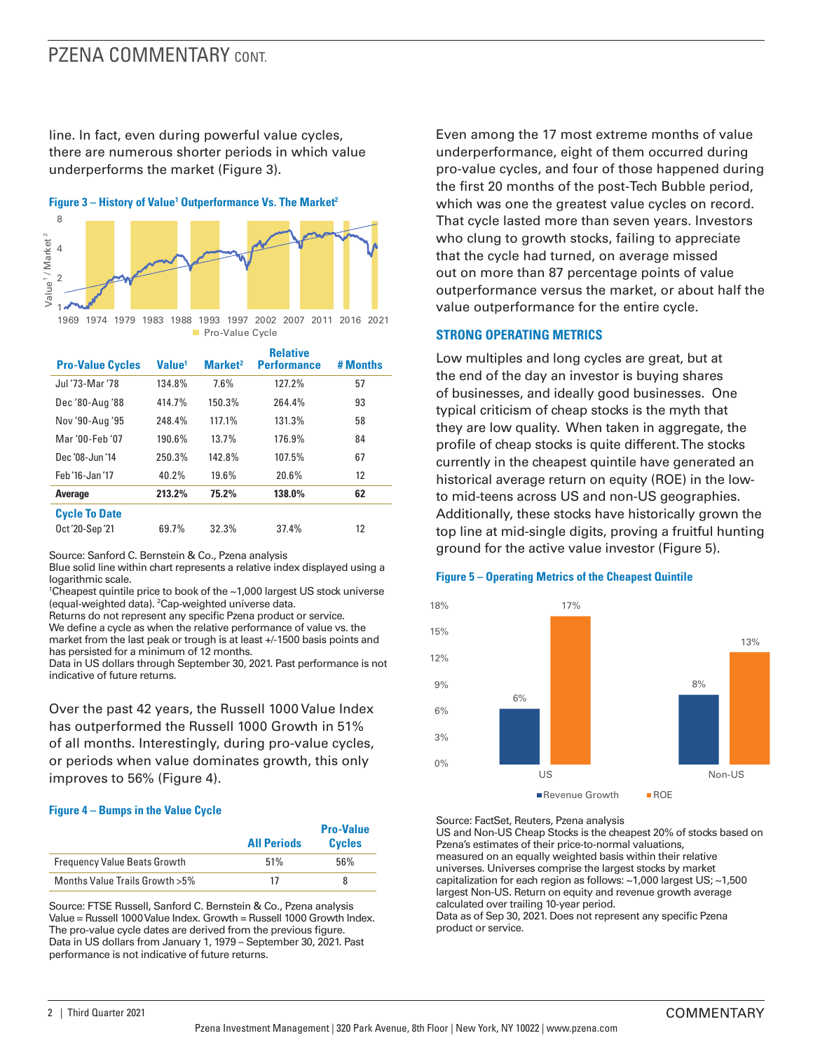## PZENA COMMENTARY CONT.

line. In fact, even during powerful value cycles, there are numerous shorter periods in which value underperforms the market (Figure 3).

**Figure 3 – History of Value<sup>1</sup> Outperformance Vs. The Market<sup>2</sup>** 



| <b>Pro-Value Cycles</b> | Value <sup>1</sup> | Market <sup>2</sup> | <b>Relative</b><br><b>Performance</b> | # Months |
|-------------------------|--------------------|---------------------|---------------------------------------|----------|
| Jul '73-Mar '78         | 134.8%             | 7.6%                | 127.2%                                | 57       |
| Dec '80-Aug '88         | 414.7%             | 150.3%              | 264.4%                                | 93       |
| Nov '90-Aug '95         | 248.4%             | 117.1%              | 131.3%                                | 58       |
| Mar '00-Feb '07         | 190.6%             | 13.7%               | 176.9%                                | 84       |
| Dec '08-Jun '14         | 250.3%             | 142.8%              | 107.5%                                | 67       |
| Feb '16-Jan '17         | 40.2%              | 19.6%               | 20.6%                                 | 12       |
| <b>Average</b>          | 213.2%             | 75.2%               | 138.0%                                | 62       |
| <b>Cycle To Date</b>    |                    |                     |                                       |          |
| Oct '20-Sep '21         | 69.7%              | 32.3%               | 37.4%                                 | 12       |

Source: Sanford C. Bernstein & Co., Pzena analysis

Blue solid line within chart represents a relative index displayed using a logarithmic scale.

1 Cheapest quintile price to book of the ~1,000 largest US stock universe (equal-weighted data). <sup>2</sup>Cap-weighted universe data.

Returns do not represent any specific Pzena product or service.

We define a cycle as when the relative performance of value vs. the market from the last peak or trough is at least +/-1500 basis points and has persisted for a minimum of 12 months.

Data in US dollars through September 30, 2021. Past performance is not indicative of future returns.

Over the past 42 years, the Russell 1000 Value Index has outperformed the Russell 1000 Growth in 51% of all months. Interestingly, during pro-value cycles, or periods when value dominates growth, this only improves to 56% (Figure 4).

#### **Figure 4 – Bumps in the Value Cycle**

|                                     | <b>All Periods</b> | <b>Pro-Value</b><br><b>Cycles</b> |
|-------------------------------------|--------------------|-----------------------------------|
| <b>Frequency Value Beats Growth</b> | 51%                | 56%                               |
| Months Value Trails Growth > 5%     | 17                 | 8                                 |

Source: FTSE Russell, Sanford C. Bernstein & Co., Pzena analysis Value = Russell 1000 Value Index. Growth = Russell 1000 Growth Index. The pro-value cycle dates are derived from the previous figure. Data in US dollars from January 1, 1979 – September 30, 2021. Past performance is not indicative of future returns.

Even among the 17 most extreme months of value underperformance, eight of them occurred during pro-value cycles, and four of those happened during the first 20 months of the post-Tech Bubble period, which was one the greatest value cycles on record. That cycle lasted more than seven years. Investors who clung to growth stocks, failing to appreciate that the cycle had turned, on average missed out on more than 87 percentage points of value outperformance versus the market, or about half the value outperformance for the entire cycle.

### **STRONG OPERATING METRICS**

Low multiples and long cycles are great, but at the end of the day an investor is buying shares of businesses, and ideally good businesses. One typical criticism of cheap stocks is the myth that they are low quality. When taken in aggregate, the profile of cheap stocks is quite different. The stocks currently in the cheapest quintile have generated an historical average return on equity (ROE) in the lowto mid-teens across US and non-US geographies. Additionally, these stocks have historically grown the top line at mid-single digits, proving a fruitful hunting ground for the active value investor (Figure 5).

#### **Figure 5 – Operating Metrics of the Cheapest Quintile**



Source: FactSet, Reuters, Pzena analysis

US and Non-US Cheap Stocks is the cheapest 20% of stocks based on Pzena's estimates of their price-to-normal valuations, measured on an equally weighted basis within their relative universes. Universes comprise the largest stocks by market capitalization for each region as follows: ~1,000 largest US; ~1,500 largest Non-US. Return on equity and revenue growth average calculated over trailing 10-year period.

Data as of Sep 30, 2021. Does not represent any specific Pzena product or service.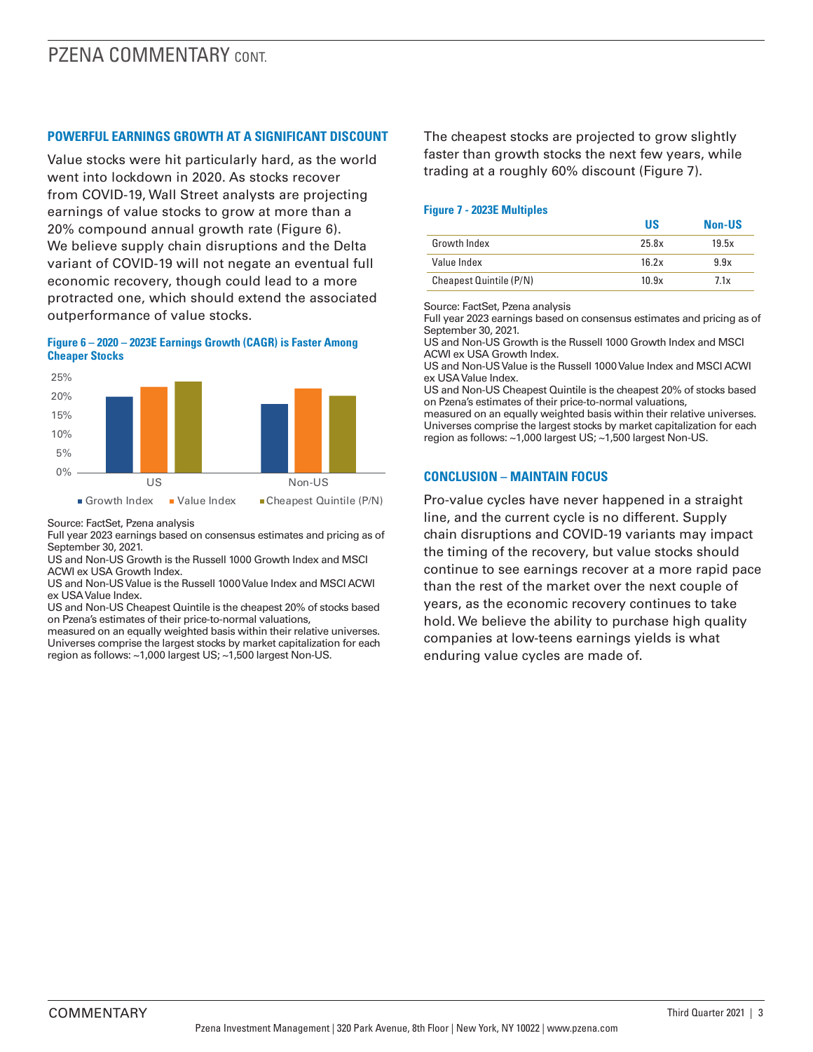## **POWERFUL EARNINGS GROWTH AT A SIGNIFICANT DISCOUNT**

Value stocks were hit particularly hard, as the world went into lockdown in 2020. As stocks recover from COVID-19, Wall Street analysts are projecting earnings of value stocks to grow at more than a 20% compound annual growth rate (Figure 6). We believe supply chain disruptions and the Delta variant of COVID-19 will not negate an eventual full economic recovery, though could lead to a more protracted one, which should extend the associated outperformance of value stocks.

#### **Figure 6 – 2020 – 2023E Earnings Growth (CAGR) is Faster Among Cheaper Stocks**



Source: FactSet, Pzena analysis

Full year 2023 earnings based on consensus estimates and pricing as of September 30, 2021.

US and Non-US Growth is the Russell 1000 Growth Index and MSCI ACWI ex USA Growth Index.

US and Non-US Value is the Russell 1000 Value Index and MSCI ACWI ex USA Value Index.

US and Non-US Cheapest Quintile is the cheapest 20% of stocks based on Pzena's estimates of their price-to-normal valuations,

measured on an equally weighted basis within their relative universes. Universes comprise the largest stocks by market capitalization for each region as follows: ~1,000 largest US; ~1,500 largest Non-US.

The cheapest stocks are projected to grow slightly faster than growth stocks the next few years, while trading at a roughly 60% discount (Figure 7).

## **Figure 7 - 2023E Multiples**

|                         | US    | <b>Non-US</b> |
|-------------------------|-------|---------------|
| Growth Index            | 25.8x | 19.5x         |
| Value Index             | 16.2x | 9.9x          |
| Cheapest Quintile (P/N) | 10.9x | 7.1x          |

Source: FactSet, Pzena analysis

Full year 2023 earnings based on consensus estimates and pricing as of September 30, 2021.

US and Non-US Growth is the Russell 1000 Growth Index and MSCI ACWI ex USA Growth Index.

US and Non-US Value is the Russell 1000 Value Index and MSCI ACWI ex USA Value Index.

US and Non-US Cheapest Quintile is the cheapest 20% of stocks based on Pzena's estimates of their price-to-normal valuations,

measured on an equally weighted basis within their relative universes. Universes comprise the largest stocks by market capitalization for each region as follows: ~1,000 largest US; ~1,500 largest Non-US.

## **CONCLUSION – MAINTAIN FOCUS**

Pro-value cycles have never happened in a straight line, and the current cycle is no different. Supply chain disruptions and COVID-19 variants may impact the timing of the recovery, but value stocks should continue to see earnings recover at a more rapid pace than the rest of the market over the next couple of years, as the economic recovery continues to take hold. We believe the ability to purchase high quality companies at low-teens earnings yields is what enduring value cycles are made of.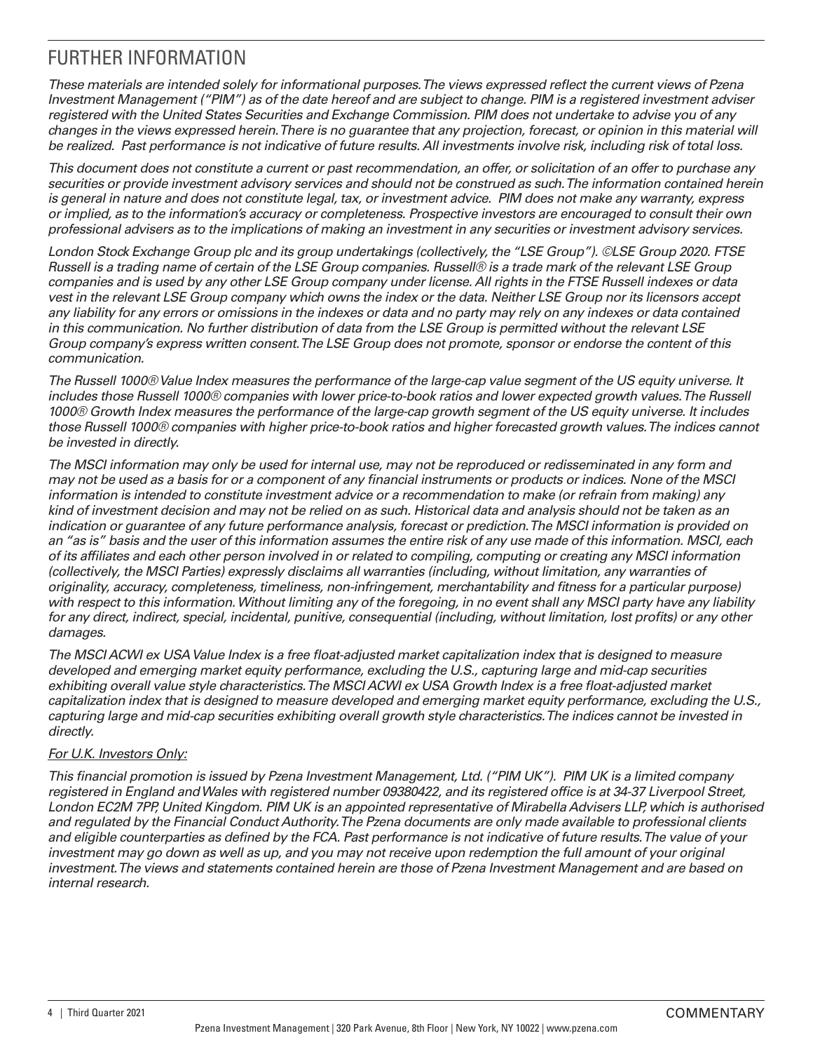# FURTHER INFORMATION

*These materials are intended solely for informational purposes. The views expressed reflect the current views of Pzena Investment Management ("PIM") as of the date hereof and are subject to change. PIM is a registered investment adviser registered with the United States Securities and Exchange Commission. PIM does not undertake to advise you of any changes in the views expressed herein. There is no guarantee that any projection, forecast, or opinion in this material will be realized. Past performance is not indicative of future results. All investments involve risk, including risk of total loss.*

*This document does not constitute a current or past recommendation, an offer, or solicitation of an offer to purchase any securities or provide investment advisory services and should not be construed as such. The information contained herein is general in nature and does not constitute legal, tax, or investment advice. PIM does not make any warranty, express or implied, as to the information's accuracy or completeness. Prospective investors are encouraged to consult their own professional advisers as to the implications of making an investment in any securities or investment advisory services.*

*London Stock Exchange Group plc and its group undertakings (collectively, the "LSE Group"). ©LSE Group 2020. FTSE Russell is a trading name of certain of the LSE Group companies. Russell® is a trade mark of the relevant LSE Group companies and is used by any other LSE Group company under license. All rights in the FTSE Russell indexes or data vest in the relevant LSE Group company which owns the index or the data. Neither LSE Group nor its licensors accept any liability for any errors or omissions in the indexes or data and no party may rely on any indexes or data contained in this communication. No further distribution of data from the LSE Group is permitted without the relevant LSE Group company's express written consent. The LSE Group does not promote, sponsor or endorse the content of this communication.*

*The Russell 1000® Value Index measures the performance of the large-cap value segment of the US equity universe. It includes those Russell 1000® companies with lower price-to-book ratios and lower expected growth values. The Russell 1000® Growth Index measures the performance of the large-cap growth segment of the US equity universe. It includes those Russell 1000® companies with higher price-to-book ratios and higher forecasted growth values. The indices cannot be invested in directly.*

*The MSCI information may only be used for internal use, may not be reproduced or redisseminated in any form and may not be used as a basis for or a component of any financial instruments or products or indices. None of the MSCI information is intended to constitute investment advice or a recommendation to make (or refrain from making) any kind of investment decision and may not be relied on as such. Historical data and analysis should not be taken as an indication or guarantee of any future performance analysis, forecast or prediction. The MSCI information is provided on an "as is" basis and the user of this information assumes the entire risk of any use made of this information. MSCI, each of its affiliates and each other person involved in or related to compiling, computing or creating any MSCI information (collectively, the MSCI Parties) expressly disclaims all warranties (including, without limitation, any warranties of originality, accuracy, completeness, timeliness, non-infringement, merchantability and fitness for a particular purpose) with respect to this information. Without limiting any of the foregoing, in no event shall any MSCI party have any liability for any direct, indirect, special, incidental, punitive, consequential (including, without limitation, lost profits) or any other damages.*

*The MSCI ACWI ex USA Value Index is a free float-adjusted market capitalization index that is designed to measure developed and emerging market equity performance, excluding the U.S., capturing large and mid-cap securities*  exhibiting overall value style characteristics. The MSCI ACWI ex USA Growth Index is a free float-adjusted market *capitalization index that is designed to measure developed and emerging market equity performance, excluding the U.S., capturing large and mid-cap securities exhibiting overall growth style characteristics. The indices cannot be invested in directly.* 

## *For U.K. Investors Only:*

*This financial promotion is issued by Pzena Investment Management, Ltd. ("PIM UK"). PIM UK is a limited company registered in England and Wales with registered number 09380422, and its registered office is at 34-37 Liverpool Street, London EC2M 7PP, United Kingdom. PIM UK is an appointed representative of Mirabella Advisers LLP, which is authorised and regulated by the Financial Conduct Authority. The Pzena documents are only made available to professional clients and eligible counterparties as defined by the FCA. Past performance is not indicative of future results. The value of your*  investment may go down as well as up, and you may not receive upon redemption the full amount of your original *investment. The views and statements contained herein are those of Pzena Investment Management and are based on internal research.*